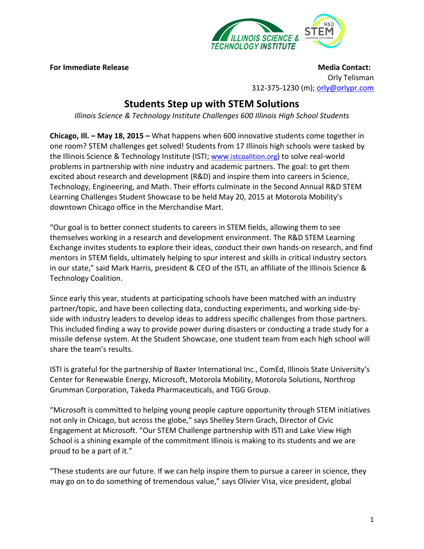

**For Immediate Release Media Contact: For Immediate Release** Media Contact: Orly Telisman 312-375-1230 (m); [orly@orlypr.com](mailto:orly@orlypr.com)

## **Students Step up with STEM Solutions**

*Illinois Science & Technology Institute Challenges 600 Illinois High School Students* 

**Chicago, Ill. – May 18, 2015 –** What happens when 600 innovative students come together in one room? STEM challenges get solved! Students from 17 Illinois high schools were tasked by the Illinois Science & Technology Institute (ISTI; www.[istcoalition.org](http://www.istcoalition.org/)) to solve real-world problems in partnership with nine industry and academic partners. The goal: to get them excited about research and development (R&D) and inspire them into careers in Science, Technology, Engineering, and Math. Their efforts culminate in the Second Annual R&D STEM Learning Challenges Student Showcase to be held May 20, 2015 at Motorola Mobility's downtown Chicago office in the Merchandise Mart.

"Our goal is to better connect students to careers in STEM fields, allowing them to see themselves working in a research and development environment. The R&D STEM Learning Exchange invites students to explore their ideas, conduct their own hands-on research, and find mentors in STEM fields, ultimately helping to spur interest and skills in critical industry sectors in our state," said Mark Harris, president & CEO of the ISTI, an affiliate of the Illinois Science & Technology Coalition.

Since early this year, students at participating schools have been matched with an industry partner/topic, and have been collecting data, conducting experiments, and working side-byside with industry leaders to develop ideas to address specific challenges from those partners. This included finding a way to provide power during disasters or conducting a trade study for a missile defense system. At the Student Showcase, one student team from each high school will share the team's results.

ISTI is grateful for the partnership of Baxter International Inc., ComEd, Illinois State University's Center for Renewable Energy, Microsoft, Motorola Mobility, Motorola Solutions, Northrop Grumman Corporation, Takeda Pharmaceuticals, and TGG Group.

"Microsoft is committed to helping young people capture opportunity through STEM initiatives not only in Chicago, but across the globe," says Shelley Stern Grach, Director of Civic Engagement at Microsoft. "Our STEM Challenge partnership with ISTI and Lake View High School is a shining example of the commitment Illinois is making to its students and we are proud to be a part of it."

"These students are our future. If we can help inspire them to pursue a career in science, they may go on to do something of tremendous value," says Olivier Visa, vice president, global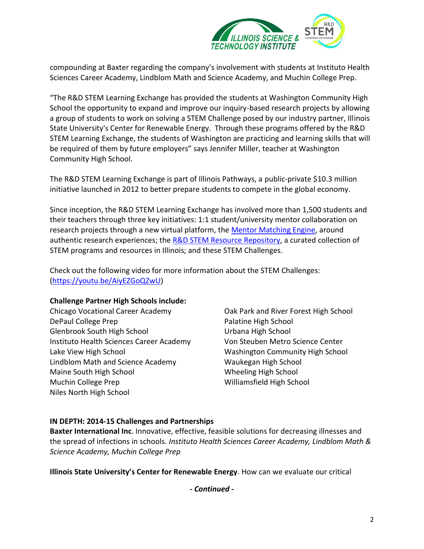

compounding at Baxter regarding the company's involvement with students at Instituto Health Sciences Career Academy, Lindblom Math and Science Academy, and Muchin College Prep.

"The R&D STEM Learning Exchange has provided the students at Washington Community High School the opportunity to expand and improve our inquiry-based research projects by allowing a group of students to work on solving a STEM Challenge posed by our industry partner, Illinois State University's Center for Renewable Energy. Through these programs offered by the R&D STEM Learning Exchange, the students of Washington are practicing and learning skills that will be required of them by future employers" says Jennifer Miller, teacher at Washington Community High School.

The R&D STEM Learning Exchange is part of Illinois Pathways, a public-private \$10.3 million initiative launched in 2012 to better prepare students to compete in the global economy.

Since inception, the R&D STEM Learning Exchange has involved more than 1,500 students and their teachers through three key initiatives: 1:1 student/university mentor collaboration on research projects through a new virtual platform, the [Mentor Matching Engine,](http://www.mentormatchingengine.org/) around authentic research experiences; the [R&D STEM Resource Repository,](http://www.stemlearningexchange.org/) a curated collection of STEM programs and resources in Illinois; and these STEM Challenges.

Check out the following video for more information about the STEM Challenges: [\(https://youtu.be/AiyEZGoQZwU\)](https://youtu.be/AiyEZGoQZwU)

## **Challenge Partner High Schools include:**

Chicago Vocational Career Academy DePaul College Prep Glenbrook South High School Instituto Health Sciences Career Academy Lake View High School Lindblom Math and Science Academy Maine South High School Muchin College Prep Niles North High School

Oak Park and River Forest High School Palatine High School Urbana High School Von Steuben Metro Science Center Washington Community High School Waukegan High School Wheeling High School Williamsfield High School

## **IN DEPTH: 2014-15 Challenges and Partnerships**

**Baxter International Inc**. Innovative, effective, feasible solutions for decreasing illnesses and the spread of infections in schools. *Instituto Health Sciences Career Academy, Lindblom Math & Science Academy, Muchin College Prep*

**Illinois State University's Center for Renewable Energy**. How can we evaluate our critical

*- Continued -*